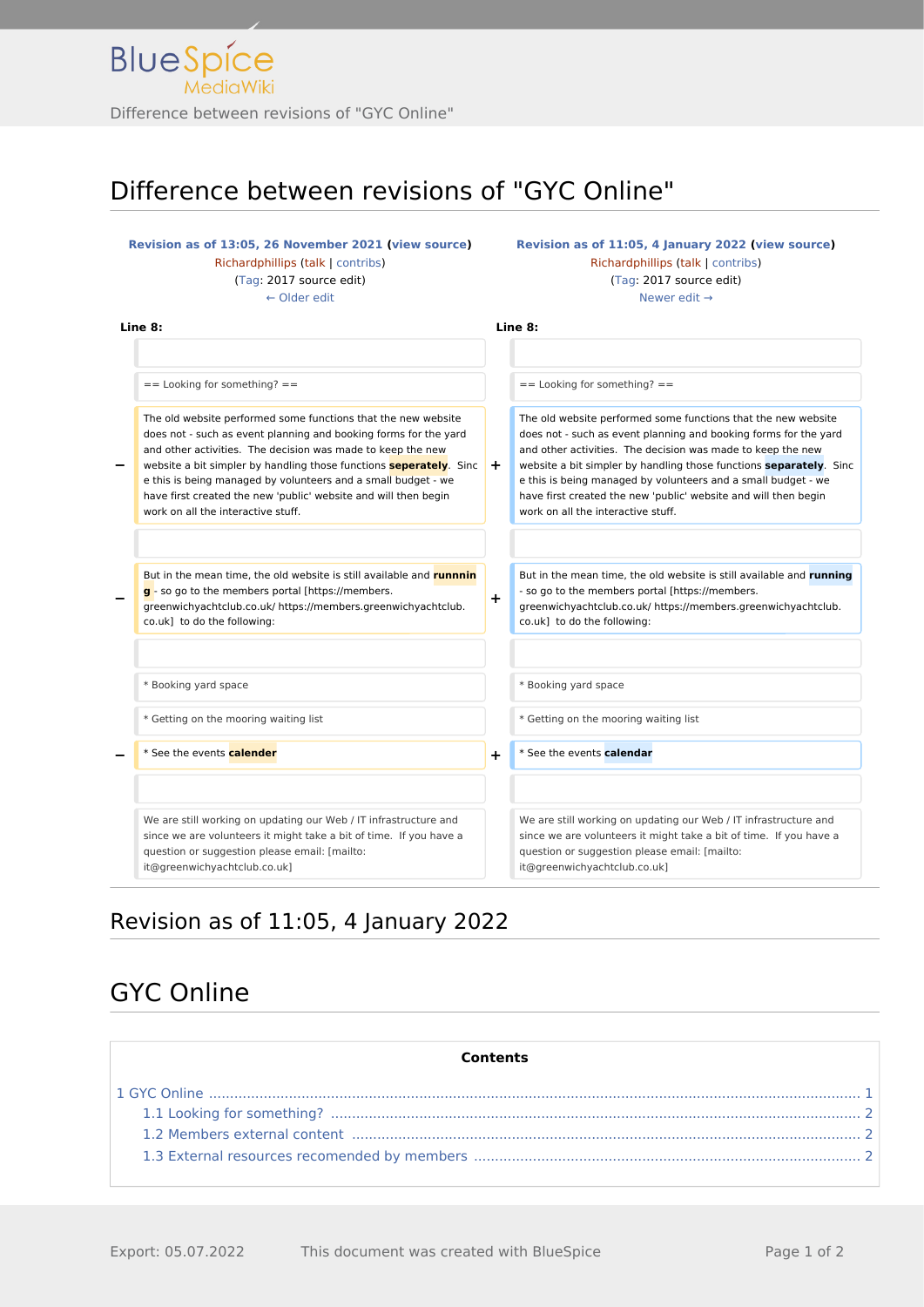# Difference between revisions of "GYC Online"

#### **[Revision as of 13:05, 26 November 2021](http://www.greenwichyachtclub.co.uk/w/index.php?title=GYC_Online&oldid=841) ([view source\)](http://www.greenwichyachtclub.co.uk/w/index.php?title=GYC_Online&action=edit&oldid=841)** [Richardphillips](http://www.greenwichyachtclub.co.uk/w/index.php?title=User:Richardphillips&action=view) [\(talk](http://www.greenwichyachtclub.co.uk/w/index.php?title=User_talk:Richardphillips&action=view) | [contribs\)](http://www.greenwichyachtclub.co.uk/wiki/Special:Contributions/Richardphillips) [\(Tag](http://www.greenwichyachtclub.co.uk/wiki/Special:Tags): 2017 source edit) [← Older edit](http://www.greenwichyachtclub.co.uk/w/index.php?title=GYC_Online&diff=prev&oldid=841) **[Revision as of 11:05, 4 January 2022](http://www.greenwichyachtclub.co.uk/w/index.php?title=GYC_Online&oldid=853) [\(view source](http://www.greenwichyachtclub.co.uk/w/index.php?title=GYC_Online&action=edit&oldid=853))** [Richardphillips](http://www.greenwichyachtclub.co.uk/w/index.php?title=User:Richardphillips&action=view) ([talk](http://www.greenwichyachtclub.co.uk/w/index.php?title=User_talk:Richardphillips&action=view) | [contribs](http://www.greenwichyachtclub.co.uk/wiki/Special:Contributions/Richardphillips)) [\(Tag:](http://www.greenwichyachtclub.co.uk/wiki/Special:Tags) 2017 source edit) [Newer edit →](http://www.greenwichyachtclub.co.uk/w/index.php?title=GYC_Online&diff=next&oldid=853) **Line 8: Line 8:**  $=$  Looking for something?  $=$   $=$  Looking for something?  $=$ **−** The old website performed some functions that the new website does not - such as event planning and booking forms for the yard and other activities. The decision was made to keep the new website a bit simpler by handling those functions **seperately**. Sinc e this is being managed by volunteers and a small budget - we have first created the new 'public' website and will then begin work on all the interactive stuff. **+** The old website performed some functions that the new website does not - such as event planning and booking forms for the yard and other activities. The decision was made to keep the new website a bit simpler by handling those functions **separately**. Sinc e this is being managed by volunteers and a small budget - we have first created the new 'public' website and will then begin work on all the interactive stuff. **−** But in the mean time, the old website is still available and **runnnin g** - so go to the members portal [https://members. greenwichyachtclub.co.uk/ https://members.greenwichyachtclub. co.uk] to do the following: **+** But in the mean time, the old website is still available and **running** - so go to the members portal [https://members. greenwichyachtclub.co.uk/ https://members.greenwichyachtclub. co.uk] to do the following: \* Booking yard space **\*** Booking yard space \* Getting on the mooring waiting list \* Getting on the mooring waiting list **−** \* See the events **calender +** \* See the events **calendar** We are still working on updating our Web / IT infrastructure and since we are volunteers it might take a bit of time. If you have a question or suggestion please email: [mailto: it@greenwichyachtclub.co.uk] We are still working on updating our Web / IT infrastructure and since we are volunteers it might take a bit of time. If you have a question or suggestion please email: [mailto: it@greenwichyachtclub.co.uk]

## Revision as of 11:05, 4 January 2022

# <span id="page-0-0"></span>GYC Online

| <b>Contents</b> |  |
|-----------------|--|
|                 |  |
|                 |  |
|                 |  |
|                 |  |